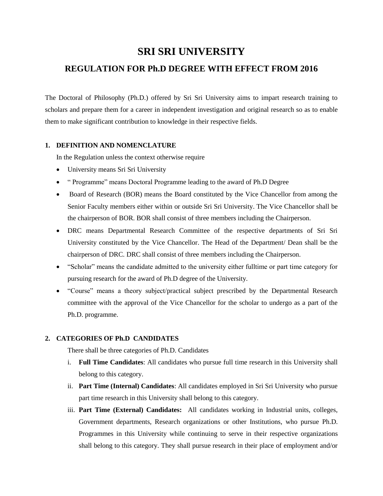# **SRI SRI UNIVERSITY**

## **REGULATION FOR Ph.D DEGREE WITH EFFECT FROM 2016**

The Doctoral of Philosophy (Ph.D.) offered by Sri Sri University aims to impart research training to scholars and prepare them for a career in independent investigation and original research so as to enable them to make significant contribution to knowledge in their respective fields.

## **1. DEFINITION AND NOMENCLATURE**

In the Regulation unless the context otherwise require

- University means Sri Sri University
- " Programme" means Doctoral Programme leading to the award of Ph.D Degree
- Board of Research (BOR) means the Board constituted by the Vice Chancellor from among the Senior Faculty members either within or outside Sri Sri University. The Vice Chancellor shall be the chairperson of BOR. BOR shall consist of three members including the Chairperson.
- DRC means Departmental Research Committee of the respective departments of Sri Sri University constituted by the Vice Chancellor. The Head of the Department/ Dean shall be the chairperson of DRC. DRC shall consist of three members including the Chairperson.
- "Scholar" means the candidate admitted to the university either fulltime or part time category for pursuing research for the award of Ph.D degree of the University.
- "Course" means a theory subject/practical subject prescribed by the Departmental Research committee with the approval of the Vice Chancellor for the scholar to undergo as a part of the Ph.D. programme.

## **2. CATEGORIES OF Ph.D CANDIDATES**

There shall be three categories of Ph.D. Candidates

- i. **Full Time Candidates**: All candidates who pursue full time research in this University shall belong to this category.
- ii. **Part Time (Internal) Candidates**: All candidates employed in Sri Sri University who pursue part time research in this University shall belong to this category.
- iii. **Part Time (External) Candidates:** All candidates working in Industrial units, colleges, Government departments, Research organizations or other Institutions, who pursue Ph.D. Programmes in this University while continuing to serve in their respective organizations shall belong to this category. They shall pursue research in their place of employment and/or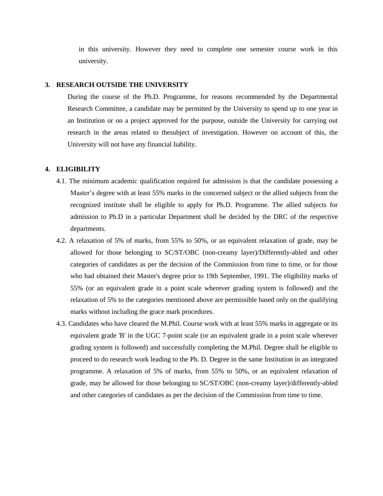in this university. However they need to complete one semester course work in this university.

#### **3. RESEARCH OUTSIDE THE UNIVERSITY**

During the course of the Ph.D. Programme, for reasons recommended by the Departmental Research Committee, a candidate may be permitted by the University to spend up to one year in an Institution or on a project approved for the purpose, outside the University for carrying out research in the areas related to thesubject of investigation. However on account of this, the University will not have any financial liability.

#### **4. ELIGIBILITY**

- 4.1. The minimum academic qualification required for admission is that the candidate possessing a Master's degree with at least 55% marks in the concerned subject or the allied subjects from the recognized institute shall be eligible to apply for Ph.D. Programme. The allied subjects for admission to Ph.D in a particular Department shall be decided by the DRC of the respective departments.
- 4.2. A relaxation of 5% of marks, from 55% to 50%, or an equivalent relaxation of grade, may be allowed for those belonging to SC/ST/OBC (non-creamy layer)/Differently-abled and other categories of candidates as per the decision of the Commission from time to time, or for those who had obtained their Master's degree prior to 19th September, 1991. The eligibility marks of 55% (or an equivalent grade in a point scale wherever grading system is followed) and the relaxation of 5% to the categories mentioned above are permissible based only on the qualifying marks without including the grace mark procedures.
- 4.3. Candidates who have cleared the M.Phil. Course work with at least 55% marks in aggregate or its equivalent grade 'B' in the UGC 7-point scale (or an equivalent grade in a point scale wherever grading system is followed) and successfully completing the M.Phil. Degree shall be eligible to proceed to do research work leading to the Ph. D. Degree in the same Institution in an integrated programme. A relaxation of 5% of marks, from 55% to 50%, or an equivalent relaxation of grade, may be allowed for those belonging to SC/ST/OBC (non-creamy layer)/differently-abled and other categories of candidates as per the decision of the Commission from time to time.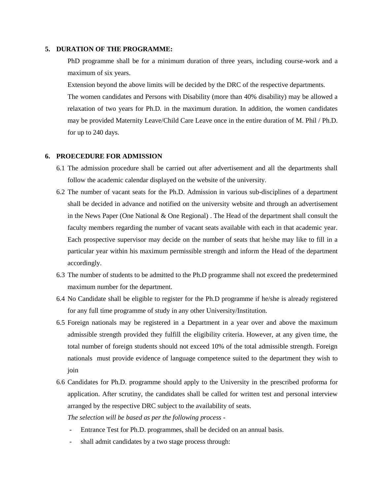## **5. DURATION OF THE PROGRAMME:**

PhD programme shall be for a minimum duration of three years, including course-work and a maximum of six years.

Extension beyond the above limits will be decided by the DRC of the respective departments.

The women candidates and Persons with Disability (more than 40% disability) may be allowed a relaxation of two years for Ph.D. in the maximum duration. In addition, the women candidates may be provided Maternity Leave/Child Care Leave once in the entire duration of M. Phil / Ph.D. for up to 240 days.

#### **6. PROECEDURE FOR ADMISSION**

- 6.1 The admission procedure shall be carried out after advertisement and all the departments shall follow the academic calendar displayed on the website of the university.
- 6.2 The number of vacant seats for the Ph.D. Admission in various sub-disciplines of a department shall be decided in advance and notified on the university website and through an advertisement in the News Paper (One National & One Regional) . The Head of the department shall consult the faculty members regarding the number of vacant seats available with each in that academic year. Each prospective supervisor may decide on the number of seats that he/she may like to fill in a particular year within his maximum permissible strength and inform the Head of the department accordingly.
- 6.3 The number of students to be admitted to the Ph.D programme shall not exceed the predetermined maximum number for the department.
- 6.4 No Candidate shall be eligible to register for the Ph.D programme if he/she is already registered for any full time programme of study in any other University/Institution.
- 6.5 Foreign nationals may be registered in a Department in a year over and above the maximum admissible strength provided they fulfill the eligibility criteria. However, at any given time, the total number of foreign students should not exceed 10% of the total admissible strength. Foreign nationals must provide evidence of language competence suited to the department they wish to join
- 6.6 Candidates for Ph.D. programme should apply to the University in the prescribed proforma for application. After scrutiny, the candidates shall be called for written test and personal interview arranged by the respective DRC subject to the availability of seats.

*The selection will be based as per the following process -*

- Entrance Test for Ph.D. programmes, shall be decided on an annual basis.
- shall admit candidates by a two stage process through: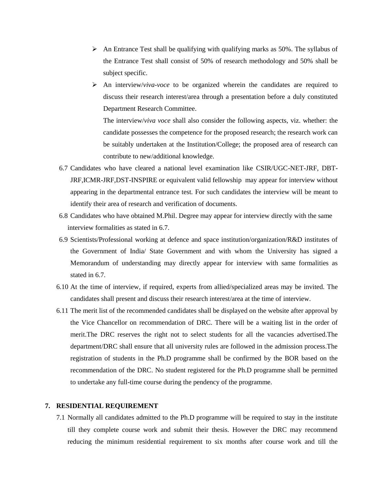- $\triangleright$  An Entrance Test shall be qualifying with qualifying marks as 50%. The syllabus of the Entrance Test shall consist of 50% of research methodology and 50% shall be subject specific.
- ➢ An interview/*viva-voce* to be organized wherein the candidates are required to discuss their research interest/area through a presentation before a duly constituted Department Research Committee.

The interview/*viva voce* shall also consider the following aspects, viz. whether: the candidate possesses the competence for the proposed research; the research work can be suitably undertaken at the Institution/College; the proposed area of research can contribute to new/additional knowledge.

- 6.7 Candidates who have cleared a national level examination like CSIR/UGC-NET-JRF, DBT-JRF,ICMR-JRF,DST-INSPIRE or equivalent valid fellowship may appear for interview without appearing in the departmental entrance test. For such candidates the interview will be meant to identify their area of research and verification of documents.
- 6.8 Candidates who have obtained M.Phil. Degree may appear for interview directly with the same interview formalities as stated in 6.7.
- 6.9 Scientists/Professional working at defence and space institution/organization/R&D institutes of the Government of India/ State Government and with whom the University has signed a Memorandum of understanding may directly appear for interview with same formalities as stated in 6.7.
- 6.10 At the time of interview, if required, experts from allied/specialized areas may be invited. The candidates shall present and discuss their research interest/area at the time of interview.
- 6.11 The merit list of the recommended candidates shall be displayed on the website after approval by the Vice Chancellor on recommendation of DRC. There will be a waiting list in the order of merit.The DRC reserves the right not to select students for all the vacancies advertised.The department/DRC shall ensure that all university rules are followed in the admission process.The registration of students in the Ph.D programme shall be confirmed by the BOR based on the recommendation of the DRC. No student registered for the Ph.D programme shall be permitted to undertake any full-time course during the pendency of the programme.

#### **7. RESIDENTIAL REQUIREMENT**

7.1 Normally all candidates admitted to the Ph.D programme will be required to stay in the institute till they complete course work and submit their thesis. However the DRC may recommend reducing the minimum residential requirement to six months after course work and till the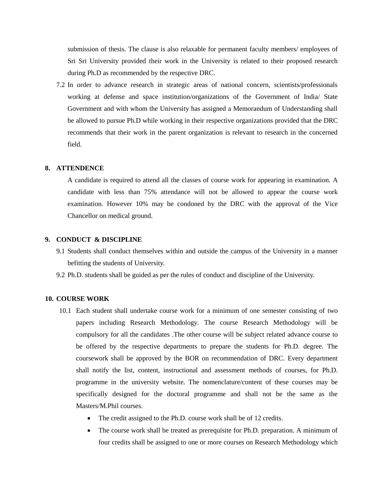submission of thesis. The clause is also relaxable for permanent faculty members/ employees of Sri Sri University provided their work in the University is related to their proposed research during Ph.D as recommended by the respective DRC.

7.2 In order to advance research in strategic areas of national concern, scientists/professionals working at defense and space institution/organizations of the Government of India/ State Government and with whom the University has assigned a Memorandum of Understanding shall be allowed to pursue Ph.D while working in their respective organizations provided that the DRC recommends that their work in the parent organization is relevant to research in the concerned field.

#### **8. ATTENDENCE**

A candidate is required to attend all the classes of course work for appearing in examination. A candidate with less than 75% attendance will not be allowed to appear the course work examination. However 10% may be condoned by the DRC with the approval of the Vice Chancellor on medical ground.

#### **9. CONDUCT & DISCIPLINE**

- 9.1 Students shall conduct themselves within and outside the campus of the University in a manner befitting the students of University.
- 9.2 Ph.D. students shall be guided as per the rules of conduct and discipline of the University.

#### **10. COURSE WORK**

- 10.1 Each student shall undertake course work for a minimum of one semester consisting of two papers including Research Methodology. The course Research Methodology will be compulsory for all the candidates .The other course will be subject related advance course to be offered by the respective departments to prepare the students for Ph.D. degree. The coursework shall be approved by the BOR on recommendation of DRC. Every department shall notify the list, content, instructional and assessment methods of courses, for Ph.D. programme in the university website. The nomenclature/content of these courses may be specifically designed for the doctoral programme and shall not be the same as the Masters/M.Phil courses.
	- The credit assigned to the Ph.D. course work shall be of 12 credits.
	- The course work shall be treated as prerequisite for Ph.D. preparation. A minimum of four credits shall be assigned to one or more courses on Research Methodology which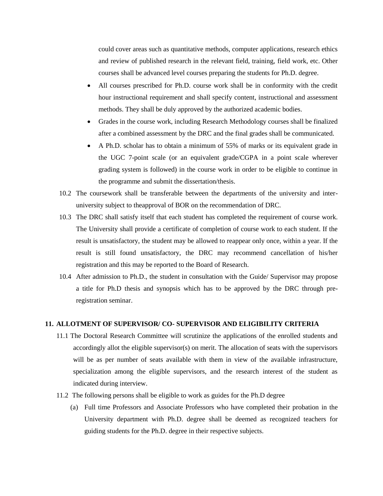could cover areas such as quantitative methods, computer applications, research ethics and review of published research in the relevant field, training, field work, etc. Other courses shall be advanced level courses preparing the students for Ph.D. degree.

- All courses prescribed for Ph.D. course work shall be in conformity with the credit hour instructional requirement and shall specify content, instructional and assessment methods. They shall be duly approved by the authorized academic bodies.
- Grades in the course work, including Research Methodology courses shall be finalized after a combined assessment by the DRC and the final grades shall be communicated.
- A Ph.D. scholar has to obtain a minimum of 55% of marks or its equivalent grade in the UGC 7-point scale (or an equivalent grade/CGPA in a point scale wherever grading system is followed) in the course work in order to be eligible to continue in the programme and submit the dissertation/thesis.
- 10.2 The coursework shall be transferable between the departments of the university and interuniversity subject to theapproval of BOR on the recommendation of DRC.
- 10.3 The DRC shall satisfy itself that each student has completed the requirement of course work. The University shall provide a certificate of completion of course work to each student. If the result is unsatisfactory, the student may be allowed to reappear only once, within a year. If the result is still found unsatisfactory, the DRC may recommend cancellation of his/her registration and this may be reported to the Board of Research.
- 10.4 After admission to Ph.D., the student in consultation with the Guide/ Supervisor may propose a title for Ph.D thesis and synopsis which has to be approved by the DRC through preregistration seminar.

## **11. ALLOTMENT OF SUPERVISOR/ CO- SUPERVISOR AND ELIGIBILITY CRITERIA**

- 11.1 The Doctoral Research Committee will scrutinize the applications of the enrolled students and accordingly allot the eligible supervisor(s) on merit. The allocation of seats with the supervisors will be as per number of seats available with them in view of the available infrastructure, specialization among the eligible supervisors, and the research interest of the student as indicated during interview.
- 11.2 The following persons shall be eligible to work as guides for the Ph.D degree
	- (a) Full time Professors and Associate Professors who have completed their probation in the University department with Ph.D. degree shall be deemed as recognized teachers for guiding students for the Ph.D. degree in their respective subjects.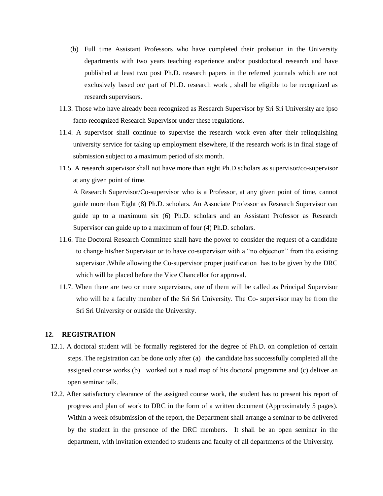- (b) Full time Assistant Professors who have completed their probation in the University departments with two years teaching experience and/or postdoctoral research and have published at least two post Ph.D. research papers in the referred journals which are not exclusively based on/ part of Ph.D. research work , shall be eligible to be recognized as research supervisors.
- 11.3. Those who have already been recognized as Research Supervisor by Sri Sri University are ipso facto recognized Research Supervisor under these regulations.
- 11.4. A supervisor shall continue to supervise the research work even after their relinquishing university service for taking up employment elsewhere, if the research work is in final stage of submission subject to a maximum period of six month.
- 11.5. A research supervisor shall not have more than eight Ph.D scholars as supervisor/co-supervisor at any given point of time.

A Research Supervisor/Co-supervisor who is a Professor, at any given point of time, cannot guide more than Eight (8) Ph.D. scholars. An Associate Professor as Research Supervisor can guide up to a maximum six (6) Ph.D. scholars and an Assistant Professor as Research Supervisor can guide up to a maximum of four (4) Ph.D. scholars.

- 11.6. The Doctoral Research Committee shall have the power to consider the request of a candidate to change his/her Supervisor or to have co-supervisor with a "no objection" from the existing supervisor .While allowing the Co-supervisor proper justification has to be given by the DRC which will be placed before the Vice Chancellor for approval.
- 11.7. When there are two or more supervisors, one of them will be called as Principal Supervisor who will be a faculty member of the Sri Sri University. The Co- supervisor may be from the Sri Sri University or outside the University.

## **12. REGISTRATION**

- 12.1. A doctoral student will be formally registered for the degree of Ph.D. on completion of certain steps. The registration can be done only after (a) the candidate has successfully completed all the assigned course works (b) worked out a road map of his doctoral programme and (c) deliver an open seminar talk.
- 12.2. After satisfactory clearance of the assigned course work, the student has to present his report of progress and plan of work to DRC in the form of a written document (Approximately 5 pages). Within a week ofsubmission of the report, the Department shall arrange a seminar to be delivered by the student in the presence of the DRC members. It shall be an open seminar in the department, with invitation extended to students and faculty of all departments of the University.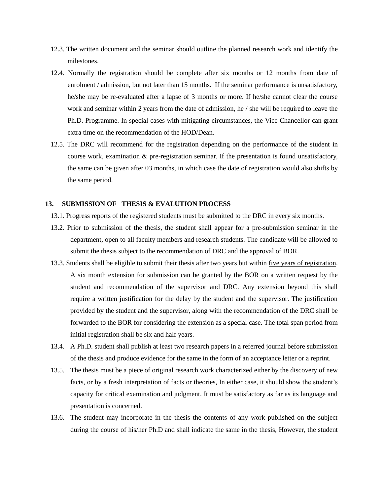- 12.3. The written document and the seminar should outline the planned research work and identify the milestones.
- 12.4. Normally the registration should be complete after six months or 12 months from date of enrolment / admission, but not later than 15 months. If the seminar performance is unsatisfactory, he/she may be re-evaluated after a lapse of 3 months or more. If he/she cannot clear the course work and seminar within 2 years from the date of admission, he / she will be required to leave the Ph.D. Programme. In special cases with mitigating circumstances, the Vice Chancellor can grant extra time on the recommendation of the HOD/Dean.
- 12.5. The DRC will recommend for the registration depending on the performance of the student in course work, examination & pre-registration seminar. If the presentation is found unsatisfactory, the same can be given after 03 months, in which case the date of registration would also shifts by the same period.

## **13. SUBMISSION OF THESIS & EVALUTION PROCESS**

- 13.1. Progress reports of the registered students must be submitted to the DRC in every six months.
- 13.2. Prior to submission of the thesis, the student shall appear for a pre-submission seminar in the department, open to all faculty members and research students. The candidate will be allowed to submit the thesis subject to the recommendation of DRC and the approval of BOR.
- 13.3. Students shall be eligible to submit their thesis after two years but within five years of registration. A six month extension for submission can be granted by the BOR on a written request by the student and recommendation of the supervisor and DRC. Any extension beyond this shall require a written justification for the delay by the student and the supervisor. The justification provided by the student and the supervisor, along with the recommendation of the DRC shall be forwarded to the BOR for considering the extension as a special case. The total span period from initial registration shall be six and half years.
- 13.4. A Ph.D. student shall publish at least two research papers in a referred journal before submission of the thesis and produce evidence for the same in the form of an acceptance letter or a reprint.
- 13.5. The thesis must be a piece of original research work characterized either by the discovery of new facts, or by a fresh interpretation of facts or theories, In either case, it should show the student's capacity for critical examination and judgment. It must be satisfactory as far as its language and presentation is concerned.
- 13.6. The student may incorporate in the thesis the contents of any work published on the subject during the course of his/her Ph.D and shall indicate the same in the thesis, However, the student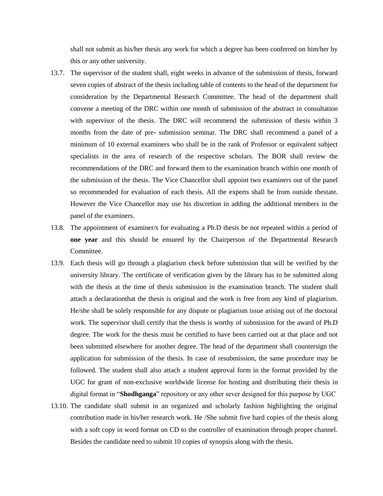shall not submit as his/her thesis any work for which a degree has been conferred on him/her by this or any other university.

- 13.7. The supervisor of the student shall, eight weeks in advance of the submission of thesis, forward seven copies of abstract of the thesis including table of contents to the head of the department for consideration by the Departmental Research Committee. The head of the department shall convene a meeting of the DRC within one month of submission of the abstract in consultation with supervisor of the thesis. The DRC will recommend the submission of thesis within 3 months from the date of pre- submission seminar. The DRC shall recommend a panel of a minimum of 10 external examiners who shall be in the rank of Professor or equivalent subject specialists in the area of research of the respective scholars. The BOR shall review the recommendations of the DRC and forward them to the examination branch within one month of the submission of the thesis. The Vice Chancellor shall appoint two examiners out of the panel so recommended for evaluation of each thesis. All the experts shall be from outside thestate. However the Vice Chancellor may use his discretion in adding the additional members in the panel of the examiners.
- 13.8. The appointment of examiner/s for evaluating a Ph.D thesis be not repeated within a period of **one year** and this should be ensured by the Chairperson of the Departmental Research Committee.
- 13.9. Each thesis will go through a plagiarism check before submission that will be verified by the university library. The certificate of verification given by the library has to be submitted along with the thesis at the time of thesis submission in the examination branch. The student shall attach a declarationthat the thesis is original and the work is free from any kind of plagiarism. He/she shall be solely responsible for any dispute or plagiarism issue arising out of the doctoral work. The supervisor shall certify that the thesis is worthy of submission for the award of Ph.D degree. The work for the thesis must be certified to have been carried out at that place and not been submitted elsewhere for another degree. The head of the department shall countersign the application for submission of the thesis. In case of resubmission, the same procedure may be followed. The student shall also attach a student approval form in the format provided by the UGC for grant of non-exclusive worldwide license for hosting and distributing their thesis in digital format in "**Shodhganga**" repository or any other sever designed for this purpose by UGC
- 13.10. The candidate shall submit in an organized and scholarly fashion highlighting the original contribution made in his/her research work. He /She submit five hard copies of the thesis along with a soft copy in word format on CD to the controller of examination through proper channel. Besides the candidate need to submit 10 copies of synopsis along with the thesis.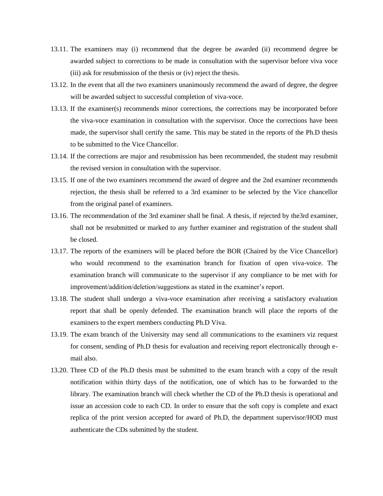- 13.11. The examiners may (i) recommend that the degree be awarded (ii) recommend degree be awarded subject to corrections to be made in consultation with the supervisor before viva voce (iii) ask for resubmission of the thesis or (iv) reject the thesis.
- 13.12. In the event that all the two examiners unanimously recommend the award of degree, the degree will be awarded subject to successful completion of viva-voce.
- 13.13. If the examiner(s) recommends minor corrections, the corrections may be incorporated before the viva-voce examination in consultation with the supervisor. Once the corrections have been made, the supervisor shall certify the same. This may be stated in the reports of the Ph.D thesis to be submitted to the Vice Chancellor.
- 13.14. If the corrections are major and resubmission has been recommended, the student may resubmit the revised version in consultation with the supervisor.
- 13.15. If one of the two examiners recommend the award of degree and the 2nd examiner recommends rejection, the thesis shall be referred to a 3rd examiner to be selected by the Vice chancellor from the original panel of examiners.
- 13.16. The recommendation of the 3rd examiner shall be final. A thesis, if rejected by the3rd examiner, shall not be resubmitted or marked to any further examiner and registration of the student shall be closed.
- 13.17. The reports of the examiners will be placed before the BOR (Chaired by the Vice Chancellor) who would recommend to the examination branch for fixation of open viva-voice. The examination branch will communicate to the supervisor if any compliance to be met with for improvement/addition/deletion/suggestions as stated in the examiner's report.
- 13.18. The student shall undergo a viva-voce examination after receiving a satisfactory evaluation report that shall be openly defended. The examination branch will place the reports of the examiners to the expert members conducting Ph.D Viva.
- 13.19. The exam branch of the University may send all communications to the examiners viz request for consent, sending of Ph.D thesis for evaluation and receiving report electronically through email also.
- 13.20. Three CD of the Ph.D thesis must be submitted to the exam branch with a copy of the result notification within thirty days of the notification, one of which has to be forwarded to the library. The examination branch will check whether the CD of the Ph.D thesis is operational and issue an accession code to each CD. In order to ensure that the soft copy is complete and exact replica of the print version accepted for award of Ph.D, the department supervisor/HOD must authenticate the CDs submitted by the student.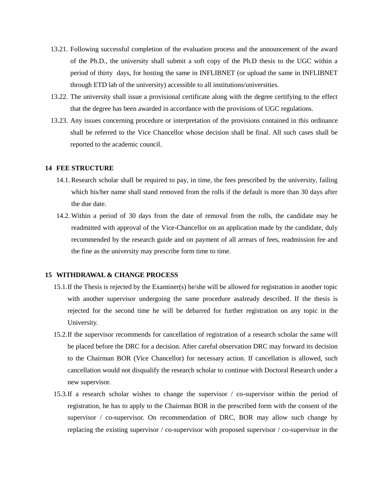- 13.21. Following successful completion of the evaluation process and the announcement of the award of the Ph.D., the university shall submit a soft copy of the Ph.D thesis to the UGC within a period of thirty days, for hosting the same in INFLIBNET (or upload the same in INFLIBNET through ETD lab of the university) accessible to all institutions/universities.
- 13.22. The university shall issue a provisional certificate along with the degree certifying to the effect that the degree has been awarded in accordance with the provisions of UGC regulations.
- 13.23. Any issues concerning procedure or interpretation of the provisions contained in this ordinance shall be referred to the Vice Chancellor whose decision shall be final. All such cases shall be reported to the academic council.

#### **14 FEE STRUCTURE**

- 14.1. Research scholar shall be required to pay, in time, the fees prescribed by the university, failing which his/her name shall stand removed from the rolls if the default is more than 30 days after the due date.
- 14.2. Within a period of 30 days from the date of removal from the rolls, the candidate may be readmitted with approval of the Vice-Chancellor on an application made by the candidate, duly recommended by the research guide and on payment of all arrears of fees, readmission fee and the fine as the university may prescribe form time to time.

#### **15 WITHDRAWAL & CHANGE PROCESS**

- 15.1.If the Thesis is rejected by the Examiner(s) he/she will be allowed for registration in another topic with another supervisor undergoing the same procedure asalready described. If the thesis is rejected for the second time he will be debarred for further registration on any topic in the University.
- 15.2.If the supervisor recommends for cancellation of registration of a research scholar the same will be placed before the DRC for a decision. After careful observation DRC may forward its decision to the Chairman BOR (Vice Chancellor) for necessary action. If cancellation is allowed, such cancellation would not disqualify the research scholar to continue with Doctoral Research under a new supervisor.
- 15.3.If a research scholar wishes to change the supervisor / co-supervisor within the period of registration, he has to apply to the Chairman BOR in the prescribed form with the consent of the supervisor / co-supervisor. On recommendation of DRC, BOR may allow such change by replacing the existing supervisor / co-supervisor with proposed supervisor / co-supervisor in the